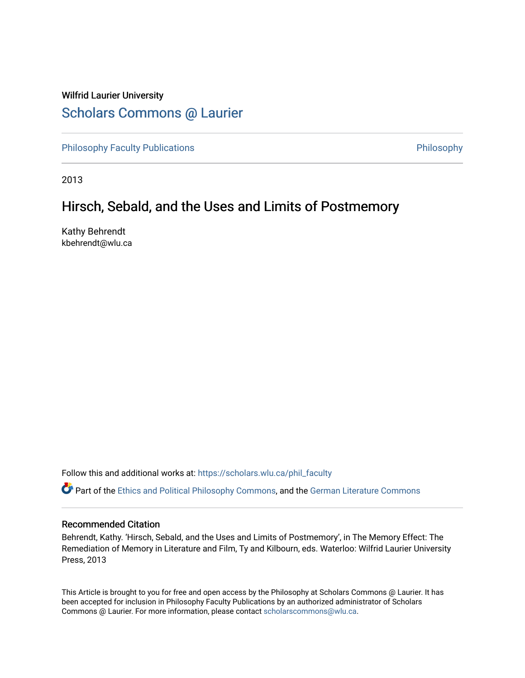## Wilfrid Laurier University [Scholars Commons @ Laurier](https://scholars.wlu.ca/)

[Philosophy Faculty Publications](https://scholars.wlu.ca/phil_faculty) **Philosophy** Philosophy

2013

## Hirsch, Sebald, and the Uses and Limits of Postmemory

Kathy Behrendt kbehrendt@wlu.ca

Follow this and additional works at: [https://scholars.wlu.ca/phil\\_faculty](https://scholars.wlu.ca/phil_faculty?utm_source=scholars.wlu.ca%2Fphil_faculty%2F8&utm_medium=PDF&utm_campaign=PDFCoverPages)

Part of the [Ethics and Political Philosophy Commons,](http://network.bepress.com/hgg/discipline/529?utm_source=scholars.wlu.ca%2Fphil_faculty%2F8&utm_medium=PDF&utm_campaign=PDFCoverPages) and the [German Literature Commons](http://network.bepress.com/hgg/discipline/469?utm_source=scholars.wlu.ca%2Fphil_faculty%2F8&utm_medium=PDF&utm_campaign=PDFCoverPages) 

## Recommended Citation

Behrendt, Kathy. 'Hirsch, Sebald, and the Uses and Limits of Postmemory', in The Memory Effect: The Remediation of Memory in Literature and Film, Ty and Kilbourn, eds. Waterloo: Wilfrid Laurier University Press, 2013

This Article is brought to you for free and open access by the Philosophy at Scholars Commons @ Laurier. It has been accepted for inclusion in Philosophy Faculty Publications by an authorized administrator of Scholars Commons @ Laurier. For more information, please contact [scholarscommons@wlu.ca](mailto:scholarscommons@wlu.ca).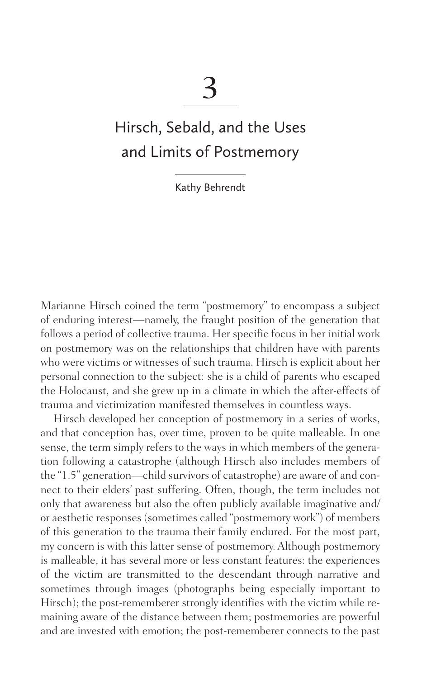3

# Hirsch, Sebald, and the Uses and Limits of Postmemory

Kathy Behrendt

Marianne Hirsch coined the term "postmemory" to encompass a subject of enduring interest—namely, the fraught position of the generation that follows a period of collective trauma. Her specific focus in her initial work on postmemory was on the relationships that children have with parents who were victims or witnesses of such trauma. Hirsch is explicit about her personal connection to the subject: she is a child of parents who escaped the Holocaust, and she grew up in a climate in which the after-effects of trauma and victimization manifested themselves in countless ways.

 Hirsch developed her conception of postmemory in a series of works, and that conception has, over time, proven to be quite malleable. In one sense, the term simply refers to the ways in which members of the generation following a catastrophe (although Hirsch also includes members of the "1.5" generation—child survivors of catastrophe) are aware of and connect to their elders' past suffering. Often, though, the term includes not only that awareness but also the often publicly available imaginative and/ or aesthetic responses (sometimes called "postmemory work") of members of this generation to the trauma their family endured. For the most part, my concern is with this latter sense of postmemory. Although postmemory is malleable, it has several more or less constant features: the experiences of the victim are transmitted to the descendant through narrative and sometimes through images (photographs being especially important to Hirsch); the post-rememberer strongly identifies with the victim while remaining aware of the distance between them; postmemories are powerful and are invested with emotion; the post-rememberer connects to the past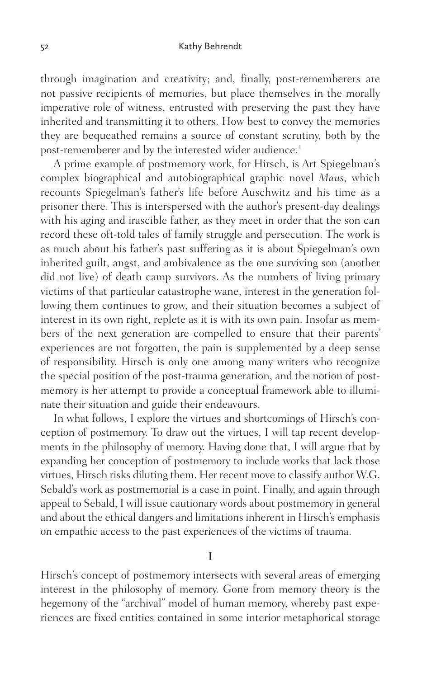through imagination and creativity; and, finally, post-rememberers are not passive recipients of memories, but place themselves in the morally imperative role of witness, entrusted with preserving the past they have inherited and transmitting it to others. How best to convey the memories they are bequeathed remains a source of constant scrutiny, both by the post-rememberer and by the interested wider audience. [1](#page-15-0)

 A prime example of postmemory work, for Hirsch, is Art Spiegelman's complex biographical and autobiographical graphic novel *Maus*, which recounts Spiegelman's father's life before Auschwitz and his time as a prisoner there. This is interspersed with the author's present-day dealings with his aging and irascible father, as they meet in order that the son can record these oft-told tales of family struggle and persecution. The work is as much about his father's past suffering as it is about Spiegelman's own inherited guilt, angst, and ambivalence as the one surviving son (another did not live) of death camp survivors. As the numbers of living primary victims of that particular catastrophe wane, interest in the generation following them continues to grow, and their situation becomes a subject of interest in its own right, replete as it is with its own pain. Insofar as members of the next generation are compelled to ensure that their parents' experiences are not forgotten, the pain is supplemented by a deep sense of responsibility. Hirsch is only one among many writers who recognize the special position of the post-trauma generation, and the notion of postmemory is her attempt to provide a conceptual framework able to illuminate their situation and guide their endeavours.

 In what follows, I explore the virtues and shortcomings of Hirsch's conception of postmemory. To draw out the virtues, I will tap recent developments in the philosophy of memory. Having done that, I will argue that by expanding her conception of postmemory to include works that lack those virtues, Hirsch risks diluting them. Her recent move to classify author W.G. Sebald's work as postmemorial is a case in point. Finally, and again through appeal to Sebald, I will issue cautionary words about postmemory in general and about the ethical dangers and limitations inherent in Hirsch's emphasis on empathic access to the past experiences of the victims of trauma.

I

Hirsch's concept of postmemory intersects with several areas of emerging interest in the philosophy of memory. Gone from memory theory is the hegemony of the "archival" model of human memory, whereby past experiences are fixed entities contained in some interior metaphorical storage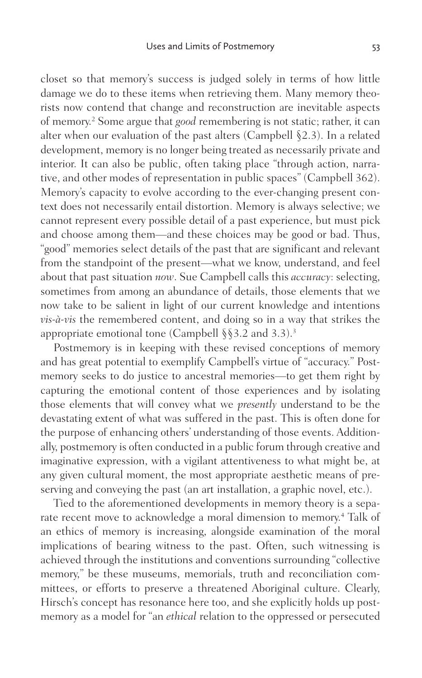closet so that memory's success is judged solely in terms of how little damage we do to these items when retrieving them. Many memory theorists now contend that change and reconstruction are inevitable aspects of memory.[2](#page-15-0) Some argue that *good* remembering is not static; rather, it can alter when our evaluation of the past alters (Campbell §2.3). In a related development, memory is no longer being treated as necessarily private and interior. It can also be public, often taking place "through action, narrative, and other modes of representation in public spaces" (Campbell 362). Memory's capacity to evolve according to the ever-changing present context does not necessarily entail distortion. Memory is always selective; we cannot represent every possible detail of a past experience, but must pick and choose among them—and these choices may be good or bad. Thus, "good" memories select details of the past that are significant and relevant from the standpoint of the present—what we know, understand, and feel about that past situation *now*. Sue Campbell calls this *accuracy*: selecting, sometimes from among an abundance of details, those elements that we now take to be salient in light of our current knowledge and intentions *vis-à-vis* the remembered content, and doing so in a way that strikes the appropriate emotional tone (Campbell  $\S$ §[3](#page-15-0).2 and 3.3).<sup>3</sup>

Postmemory is in keeping with these revised conceptions of memory and has great potential to exemplify Campbell's virtue of "accuracy." Postmemory seeks to do justice to ancestral memories—to get them right by capturing the emotional content of those experiences and by isolating those elements that will convey what we *presently* understand to be the devastating extent of what was suffered in the past. This is often done for the purpose of enhancing others' understanding of those events. Additionally, postmemory is often conducted in a public forum through creative and imaginative expression, with a vigilant attentiveness to what might be, at any given cultural moment, the most appropriate aesthetic means of preserving and conveying the past (an art installation, a graphic novel, etc.).

 Tied to the aforementioned developments in memory theory is a separate recent move to acknowledge a moral dimension to memory.[4](#page-16-0) Talk of an ethics of memory is increasing, alongside examination of the moral implications of bearing witness to the past. Often, such witnessing is achieved through the institutions and conventions surrounding "collective memory," be these museums, memorials, truth and reconciliation committees, or efforts to preserve a threatened Aboriginal culture. Clearly, Hirsch's concept has resonance here too, and she explicitly holds up postmemory as a model for "an *ethical* relation to the oppressed or persecuted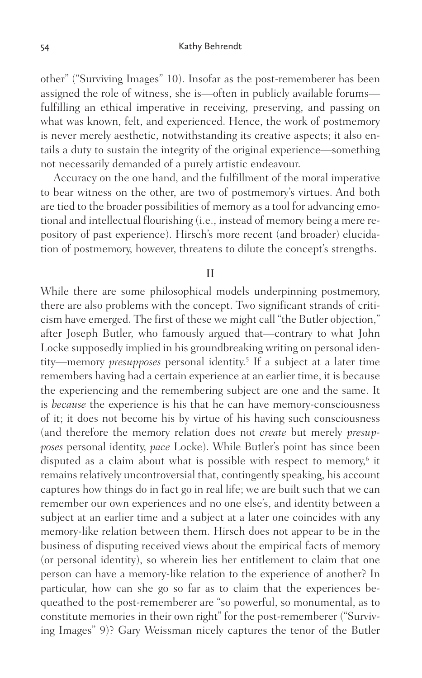other" ("Surviving Images" 10). Insofar as the post-rememberer has been assigned the role of witness, she is—often in publicly available forums fulfilling an ethical imperative in receiving, preserving, and passing on what was known, felt, and experienced. Hence, the work of postmemory is never merely aesthetic, notwithstanding its creative aspects; it also entails a duty to sustain the integrity of the original experience—something not necessarily demanded of a purely artistic endeavour.

 Accuracy on the one hand, and the fulfillment of the moral imperative to bear witness on the other, are two of postmemory's virtues. And both are tied to the broader possibilities of memory as a tool for advancing emotional and intellectual flourishing (i.e., instead of memory being a mere repository of past experience). Hirsch's more recent (and broader) elucidation of postmemory, however, threatens to dilute the concept's strengths.

II

While there are some philosophical models underpinning postmemory, there are also problems with the concept. Two significant strands of criticism have emerged. The first of these we might call "the Butler objection," after Joseph Butler, who famously argued that—contrary to what John Locke supposedly implied in his groundbreaking writing on personal identity—memory *presupposes* personal identity.<sup>[5](#page-16-0)</sup> If a subject at a later time remembers having had a certain experience at an earlier time, it is because the experiencing and the remembering subject are one and the same. It is *because* the experience is his that he can have memory-consciousness of it; it does not become his by virtue of his having such consciousness (and therefore the memory relation does not *create* but merely *presupposes* personal identity, *pace* Locke). While Butler's point has since been disputed as a claim about what is possible with respect to memory,<sup>[6](#page-16-0)</sup> it remains relatively uncontroversial that, contingently speaking, his account captures how things do in fact go in real life; we are built such that we can remember our own experiences and no one else's, and identity between a subject at an earlier time and a subject at a later one coincides with any memory-like relation between them. Hirsch does not appear to be in the business of disputing received views about the empirical facts of memory (or personal identity), so wherein lies her entitlement to claim that one person can have a memory-like relation to the experience of another? In particular, how can she go so far as to claim that the experiences bequeathed to the post-rememberer are "so powerful, so monumental, as to constitute memories in their own right" for the post-rememberer ("Surviving Images" 9)? Gary Weissman nicely captures the tenor of the Butler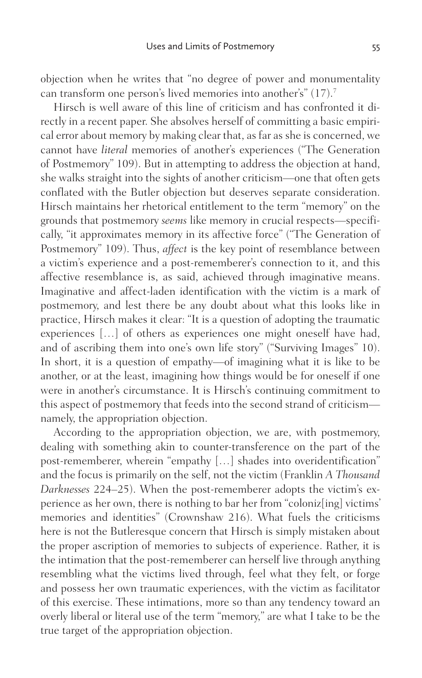objection when he writes that "no degree of power and monumentality can transform one person's lived memories into another's" (17). [7](#page-16-0)

 Hirsch is well aware of this line of criticism and has confronted it directly in a recent paper. She absolves herself of committing a basic empirical error about memory by making clear that, as far as she is concerned, we cannot have *literal* memories of another's experiences ("The Generation of Postmemory" 109). But in attempting to address the objection at hand, she walks straight into the sights of another criticism—one that often gets conflated with the Butler objection but deserves separate consideration. Hirsch maintains her rhetorical entitlement to the term "memory" on the grounds that postmemory *seems* like memory in crucial respects—specifically, "it approximates memory in its affective force" ("The Generation of Postmemory" 109). Thus, *affect* is the key point of resemblance between a victim's experience and a post-rememberer's connection to it, and this affective resemblance is, as said, achieved through imaginative means. Imaginative and affect-laden identification with the victim is a mark of postmemory, and lest there be any doubt about what this looks like in practice, Hirsch makes it clear: "It is a question of adopting the traumatic experiences […] of others as experiences one might oneself have had, and of ascribing them into one's own life story" ("Surviving Images" 10). In short, it is a question of empathy—of imagining what it is like to be another, or at the least, imagining how things would be for oneself if one were in another's circumstance. It is Hirsch's continuing commitment to this aspect of postmemory that feeds into the second strand of criticism namely, the appropriation objection.

 According to the appropriation objection, we are, with postmemory, dealing with something akin to counter-transference on the part of the post-rememberer, wherein "empathy […] shades into overidentification" and the focus is primarily on the self, not the victim (Franklin *A Thousand Darknesses* 224–25). When the post-rememberer adopts the victim's experience as her own, there is nothing to bar her from "coloniz[ing] victims' memories and identities" (Crownshaw 216). What fuels the criticisms here is not the Butleresque concern that Hirsch is simply mistaken about the proper ascription of memories to subjects of experience. Rather, it is the intimation that the post-rememberer can herself live through anything resembling what the victims lived through, feel what they felt, or forge and possess her own traumatic experiences, with the victim as facilitator of this exercise. These intimations, more so than any tendency toward an overly liberal or literal use of the term "memory," are what I take to be the true target of the appropriation objection.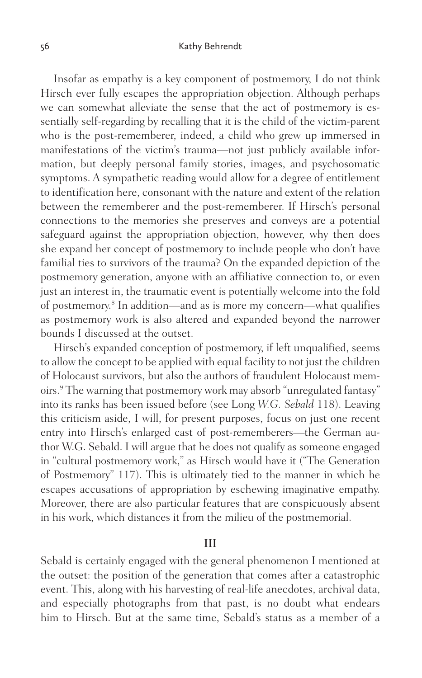Insofar as empathy is a key component of postmemory, I do not think Hirsch ever fully escapes the appropriation objection. Although perhaps we can somewhat alleviate the sense that the act of postmemory is essentially self-regarding by recalling that it is the child of the victim-parent who is the post-rememberer, indeed, a child who grew up immersed in manifestations of the victim's trauma—not just publicly available information, but deeply personal family stories, images, and psychosomatic symptoms. A sympathetic reading would allow for a degree of entitlement to identification here, consonant with the nature and extent of the relation between the rememberer and the post-rememberer. If Hirsch's personal connections to the memories she preserves and conveys are a potential safeguard against the appropriation objection, however, why then does she expand her concept of postmemory to include people who don't have familial ties to survivors of the trauma? On the expanded depiction of the postmemory generation, anyone with an affiliative connection to, or even just an interest in, the traumatic event is potentially welcome into the fold of postmemory. [8](#page-16-0) In addition—and as is more my concern—what qualifies as postmemory work is also altered and expanded beyond the narrower bounds I discussed at the outset.

 Hirsch's expanded conception of postmemory, if left unqualified, seems to allow the concept to be applied with equal facility to not just the children of Holocaust survivors, but also the authors of fraudulent Holocaust memoirs. [9](#page-16-0) The warning that postmemory work may absorb "unregulated fantasy" into its ranks has been issued before (see Long *W.G. Sebald* 118). Leaving this criticism aside, I will, for present purposes, focus on just one recent entry into Hirsch's enlarged cast of post-rememberers—the German author W.G. Sebald. I will argue that he does not qualify as someone engaged in "cultural postmemory work," as Hirsch would have it ("The Generation of Postmemory" 117). This is ultimately tied to the manner in which he escapes accusations of appropriation by eschewing imaginative empathy. Moreover, there are also particular features that are conspicuously absent in his work, which distances it from the milieu of the postmemorial.

### III

Sebald is certainly engaged with the general phenomenon I mentioned at the outset: the position of the generation that comes after a catastrophic event. This, along with his harvesting of real-life anecdotes, archival data, and especially photographs from that past, is no doubt what endears him to Hirsch. But at the same time, Sebald's status as a member of a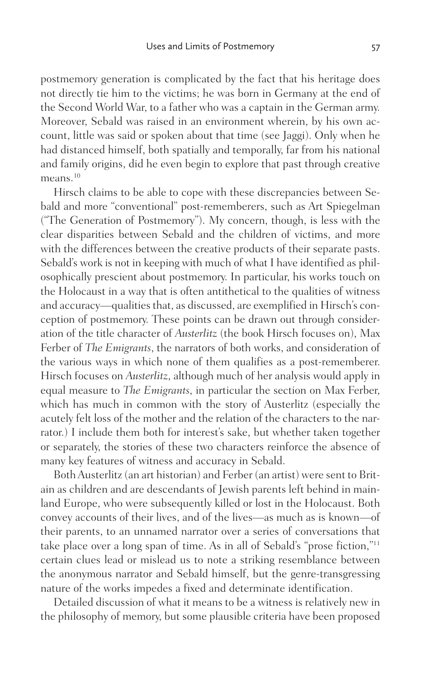postmemory generation is complicated by the fact that his heritage does not directly tie him to the victims; he was born in Germany at the end of the Second World War, to a father who was a captain in the German army. Moreover, Sebald was raised in an environment wherein, by his own account, little was said or spoken about that time (see Jaggi). Only when he had distanced himself, both spatially and temporally, far from his national and family origins, did he even begin to explore that past through creative means.<sup>10</sup>

 Hirsch claims to be able to cope with these discrepancies between Sebald and more "conventional" post-rememberers, such as Art Spiegelman ("The Generation of Postmemory"). My concern, though, is less with the clear disparities between Sebald and the children of victims, and more with the differences between the creative products of their separate pasts. Sebald's work is not in keeping with much of what I have identified as philosophically prescient about postmemory. In particular, his works touch on the Holocaust in a way that is often antithetical to the qualities of witness and accuracy—qualities that, as discussed, are exemplified in Hirsch's conception of postmemory. These points can be drawn out through consideration of the title character of *Austerlitz* (the book Hirsch focuses on), Max Ferber of *The Emigrants*, the narrators of both works, and consideration of the various ways in which none of them qualifies as a post-rememberer. Hirsch focuses on *Austerlitz*, although much of her analysis would apply in equal measure to *The Emigrants*, in particular the section on Max Ferber, which has much in common with the story of Austerlitz (especially the acutely felt loss of the mother and the relation of the characters to the narrator.) I include them both for interest's sake, but whether taken together or separately, the stories of these two characters reinforce the absence of many key features of witness and accuracy in Sebald.

 Both Austerlitz (an art historian) and Ferber (an artist) were sent to Britain as children and are descendants of Jewish parents left behind in mainland Europe, who were subsequently killed or lost in the Holocaust. Both convey accounts of their lives, and of the lives—as much as is known—of their parents, to an unnamed narrator over a series of conversations that take place over a long span of time. As in all of Sebald's "prose fiction,"[11](#page-16-0) certain clues lead or mislead us to note a striking resemblance between the anonymous narrator and Sebald himself, but the genre-transgressing nature of the works impedes a fixed and determinate identification.

 Detailed discussion of what it means to be a witness is relatively new in the philosophy of memory, but some plausible criteria have been proposed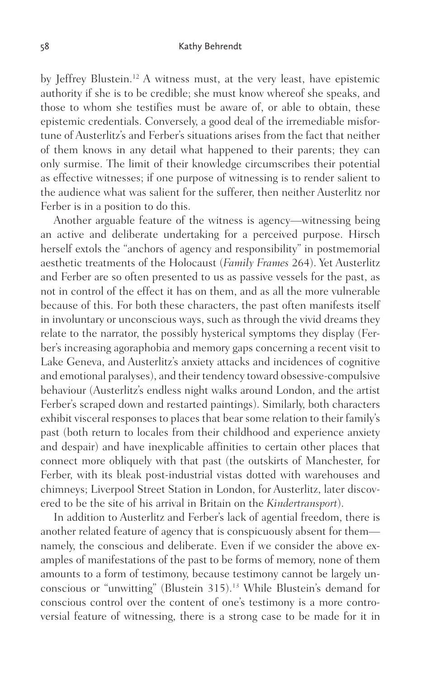by Jeffrey Blustein. [12](#page-16-0) A witness must, at the very least, have epistemic authority if she is to be credible; she must know whereof she speaks, and those to whom she testifies must be aware of, or able to obtain, these epistemic credentials. Conversely, a good deal of the irremediable misfortune of Austerlitz's and Ferber's situations arises from the fact that neither of them knows in any detail what happened to their parents; they can only surmise. The limit of their knowledge circumscribes their potential as effective witnesses; if one purpose of witnessing is to render salient to the audience what was salient for the sufferer, then neither Austerlitz nor Ferber is in a position to do this.

 Another arguable feature of the witness is agency—witnessing being an active and deliberate undertaking for a perceived purpose. Hirsch herself extols the "anchors of agency and responsibility" in postmemorial aesthetic treatments of the Holocaust (*Family Frames* 264). Yet Austerlitz and Ferber are so often presented to us as passive vessels for the past, as not in control of the effect it has on them, and as all the more vulnerable because of this. For both these characters, the past often manifests itself in involuntary or unconscious ways, such as through the vivid dreams they relate to the narrator, the possibly hysterical symptoms they display (Ferber's increasing agoraphobia and memory gaps concerning a recent visit to Lake Geneva, and Austerlitz's anxiety attacks and incidences of cognitive and emotional paralyses), and their tendency toward obsessive-compulsive behaviour (Austerlitz's endless night walks around London, and the artist Ferber's scraped down and restarted paintings). Similarly, both characters exhibit visceral responses to places that bear some relation to their family's past (both return to locales from their childhood and experience anxiety and despair) and have inexplicable affinities to certain other places that connect more obliquely with that past (the outskirts of Manchester, for Ferber, with its bleak post-industrial vistas dotted with warehouses and chimneys; Liverpool Street Station in London, for Austerlitz, later discovered to be the site of his arrival in Britain on the *Kindertransport*).

 In addition to Austerlitz and Ferber's lack of agential freedom, there is another related feature of agency that is conspicuously absent for them namely, the conscious and deliberate. Even if we consider the above examples of manifestations of the past to be forms of memory, none of them amounts to a form of testimony, because testimony cannot be largely unconscious or "unwitting" (Blustein 315). [13](#page-16-0) While Blustein's demand for conscious control over the content of one's testimony is a more controversial feature of witnessing, there is a strong case to be made for it in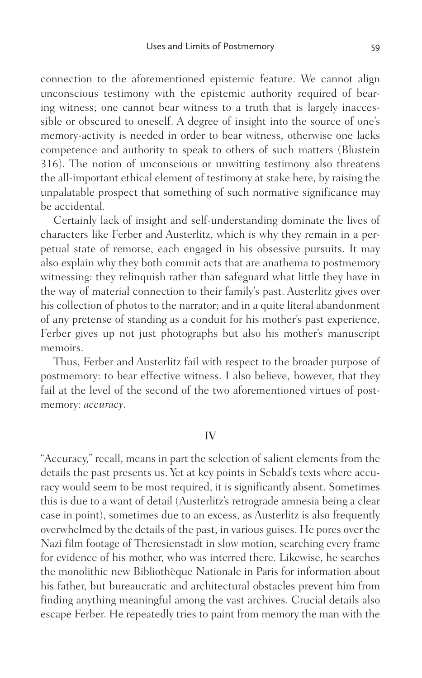connection to the aforementioned epistemic feature. We cannot align unconscious testimony with the epistemic authority required of bearing witness; one cannot bear witness to a truth that is largely inaccessible or obscured to oneself. A degree of insight into the source of one's memory-activity is needed in order to bear witness, otherwise one lacks competence and authority to speak to others of such matters (Blustein 316). The notion of unconscious or unwitting testimony also threatens the all-important ethical element of testimony at stake here, by raising the unpalatable prospect that something of such normative significance may be accidental.

 Certainly lack of insight and self-understanding dominate the lives of characters like Ferber and Austerlitz, which is why they remain in a perpetual state of remorse, each engaged in his obsessive pursuits. It may also explain why they both commit acts that are anathema to postmemory witnessing: they relinquish rather than safeguard what little they have in the way of material connection to their family's past. Austerlitz gives over his collection of photos to the narrator; and in a quite literal abandonment of any pretense of standing as a conduit for his mother's past experience, Ferber gives up not just photographs but also his mother's manuscript memoirs.

 Thus, Ferber and Austerlitz fail with respect to the broader purpose of postmemory: to bear effective witness. I also believe, however, that they fail at the level of the second of the two aforementioned virtues of postmemory: *accuracy*.

### IV

"Accuracy," recall, means in part the selection of salient elements from the details the past presents us. Yet at key points in Sebald's texts where accuracy would seem to be most required, it is significantly absent. Sometimes this is due to a want of detail (Austerlitz's retrograde amnesia being a clear case in point), sometimes due to an excess, as Austerlitz is also frequently overwhelmed by the details of the past, in various guises. He pores over the Nazi film footage of Theresienstadt in slow motion, searching every frame for evidence of his mother, who was interred there. Likewise, he searches the monolithic new Bibliothèque Nationale in Paris for information about his father, but bureaucratic and architectural obstacles prevent him from finding anything meaningful among the vast archives. Crucial details also escape Ferber. He repeatedly tries to paint from memory the man with the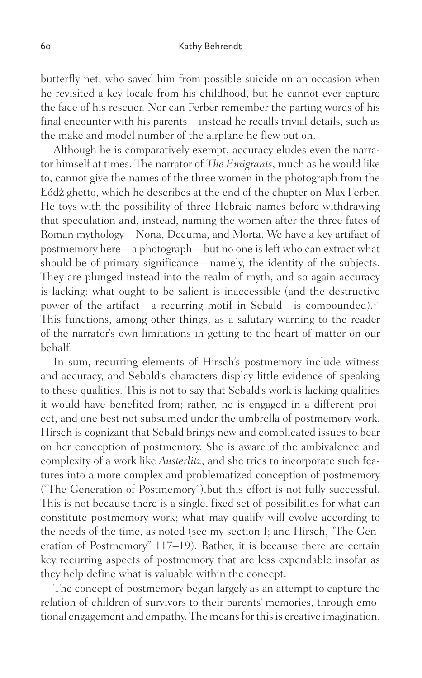butterfly net, who saved him from possible suicide on an occasion when he revisited a key locale from his childhood, but he cannot ever capture the face of his rescuer. Nor can Ferber remember the parting words of his final encounter with his parents—instead he recalls trivial details, such as the make and model number of the airplane he flew out on.

 Although he is comparatively exempt, accuracy eludes even the narrator himself at times. The narrator of *The Emigrants*, much as he would like to, cannot give the names of the three women in the photograph from the Łódź ghetto, which he describes at the end of the chapter on Max Ferber. He toys with the possibility of three Hebraic names before withdrawing that speculation and, instead, naming the women after the three fates of Roman mythology—Nona, Decuma, and Morta. We have a key artifact of postmemory here—a photograph—but no one is left who can extract what should be of primary significance—namely, the identity of the subjects. They are plunged instead into the realm of myth, and so again accuracy is lacking: what ought to be salient is inaccessible (and the destructive power of the artifact—a recurring motif in Sebald—is compounded).[14](#page-16-0) This functions, among other things, as a salutary warning to the reader of the narrator's own limitations in getting to the heart of matter on our behalf.

 In sum, recurring elements of Hirsch's postmemory include witness and accuracy, and Sebald's characters display little evidence of speaking to these qualities. This is not to say that Sebald's work is lacking qualities it would have benefited from; rather, he is engaged in a different project, and one best not subsumed under the umbrella of postmemory work. Hirsch is cognizant that Sebald brings new and complicated issues to bear on her conception of postmemory. She is aware of the ambivalence and complexity of a work like *Austerlitz*, and she tries to incorporate such features into a more complex and problematized conception of postmemory ("The Generation of Postmemory"),but this effort is not fully successful. This is not because there is a single, fixed set of possibilities for what can constitute postmemory work; what may qualify will evolve according to the needs of the time, as noted (see my section I; and Hirsch, "The Generation of Postmemory" 117–19). Rather, it is because there are certain key recurring aspects of postmemory that are less expendable insofar as they help define what is valuable within the concept.

 The concept of postmemory began largely as an attempt to capture the relation of children of survivors to their parents' memories, through emotional engagement and empathy. The means for this is creative imagination,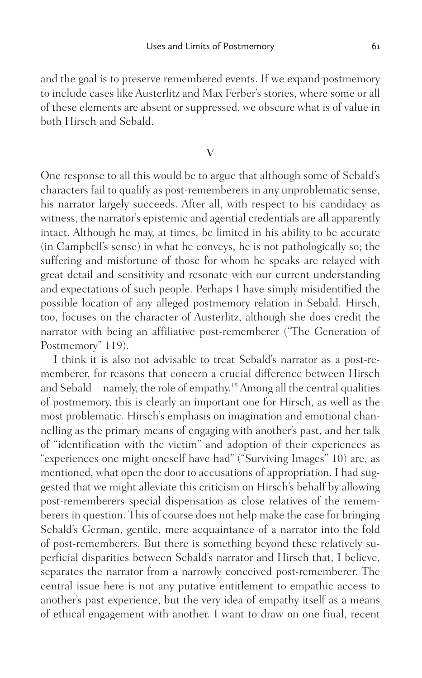and the goal is to preserve remembered events. If we expand postmemory to include cases like Austerlitz and Max Ferber's stories, where some or all of these elements are absent or suppressed, we obscure what is of value in both Hirsch and Sebald.

### V

One response to all this would be to argue that although some of Sebald's characters fail to qualify as post-rememberers in any unproblematic sense, his narrator largely succeeds. After all, with respect to his candidacy as witness, the narrator's epistemic and agential credentials are all apparently intact. Although he may, at times, be limited in his ability to be accurate (in Campbell's sense) in what he conveys, he is not pathologically so; the suffering and misfortune of those for whom he speaks are relayed with great detail and sensitivity and resonate with our current understanding and expectations of such people. Perhaps I have simply misidentified the possible location of any alleged postmemory relation in Sebald. Hirsch, too, focuses on the character of Austerlitz, although she does credit the narrator with being an affiliative post-rememberer ("The Generation of Postmemory" 119).

 I think it is also not advisable to treat Sebald's narrator as a post-rememberer, for reasons that concern a crucial difference between Hirsch and Sebald—namely, the role of empathy.[15](#page-16-0) Among all the central qualities of postmemory, this is clearly an important one for Hirsch, as well as the most problematic. Hirsch's emphasis on imagination and emotional channelling as the primary means of engaging with another's past, and her talk of "identification with the victim" and adoption of their experiences as "experiences one might oneself have had" ("Surviving Images" 10) are, as mentioned, what open the door to accusations of appropriation. I had suggested that we might alleviate this criticism on Hirsch's behalf by allowing post-rememberers special dispensation as close relatives of the rememberers in question. This of course does not help make the case for bringing Sebald's German, gentile, mere acquaintance of a narrator into the fold of post-rememberers. But there is something beyond these relatively superficial disparities between Sebald's narrator and Hirsch that, I believe, separates the narrator from a narrowly conceived post-rememberer. The central issue here is not any putative entitlement to empathic access to another's past experience, but the very idea of empathy itself as a means of ethical engagement with another. I want to draw on one final, recent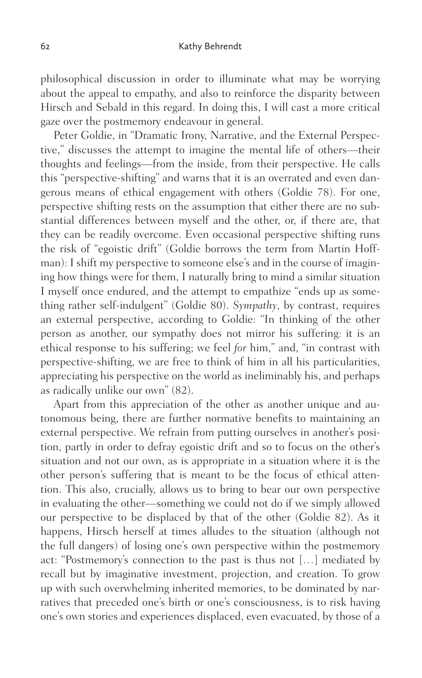philosophical discussion in order to illuminate what may be worrying about the appeal to empathy, and also to reinforce the disparity between Hirsch and Sebald in this regard. In doing this, I will cast a more critical gaze over the postmemory endeavour in general.

 Peter Goldie, in "Dramatic Irony, Narrative, and the External Perspective," discusses the attempt to imagine the mental life of others—their thoughts and feelings—from the inside, from their perspective. He calls this "perspective-shifting" and warns that it is an overrated and even dangerous means of ethical engagement with others (Goldie 78). For one, perspective shifting rests on the assumption that either there are no substantial differences between myself and the other, or, if there are, that they can be readily overcome. Even occasional perspective shifting runs the risk of "egoistic drift" (Goldie borrows the term from Martin Hoffman): I shift my perspective to someone else's and in the course of imagining how things were for them, I naturally bring to mind a similar situation I myself once endured, and the attempt to empathize "ends up as something rather self-indulgent" (Goldie 80). *Sympathy*, by contrast, requires an external perspective, according to Goldie: "In thinking of the other person as another, our sympathy does not mirror his suffering: it is an ethical response to his suffering; we feel *for* him," and, "in contrast with perspective-shifting, we are free to think of him in all his particularities, appreciating his perspective on the world as ineliminably his, and perhaps as radically unlike our own" (82).

 Apart from this appreciation of the other as another unique and autonomous being, there are further normative benefits to maintaining an external perspective. We refrain from putting ourselves in another's position, partly in order to defray egoistic drift and so to focus on the other's situation and not our own, as is appropriate in a situation where it is the other person's suffering that is meant to be the focus of ethical attention. This also, crucially, allows us to bring to bear our own perspective in evaluating the other—something we could not do if we simply allowed our perspective to be displaced by that of the other (Goldie 82). As it happens, Hirsch herself at times alludes to the situation (although not the full dangers) of losing one's own perspective within the postmemory act: "Postmemory's connection to the past is thus not […] mediated by recall but by imaginative investment, projection, and creation. To grow up with such overwhelming inherited memories, to be dominated by narratives that preceded one's birth or one's consciousness, is to risk having one's own stories and experiences displaced, even evacuated, by those of a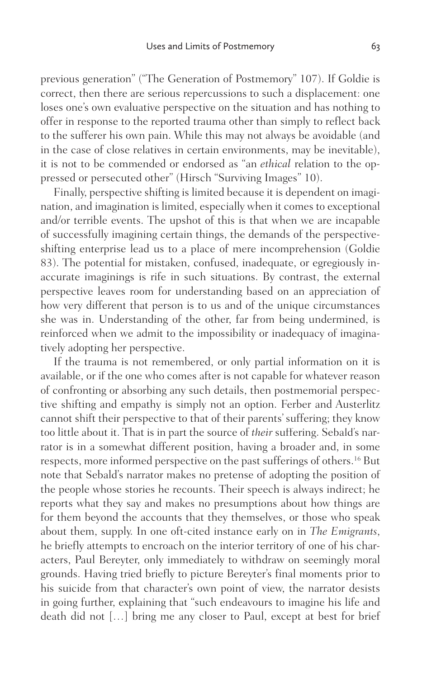previous generation" ("The Generation of Postmemory" 107). If Goldie is correct, then there are serious repercussions to such a displacement: one loses one's own evaluative perspective on the situation and has nothing to offer in response to the reported trauma other than simply to reflect back to the sufferer his own pain. While this may not always be avoidable (and in the case of close relatives in certain environments, may be inevitable), it is not to be commended or endorsed as "an *ethical* relation to the oppressed or persecuted other" (Hirsch "Surviving Images" 10).

 Finally, perspective shifting is limited because it is dependent on imagination, and imagination is limited, especially when it comes to exceptional and/or terrible events. The upshot of this is that when we are incapable of successfully imagining certain things, the demands of the perspectiveshifting enterprise lead us to a place of mere incomprehension (Goldie 83). The potential for mistaken, confused, inadequate, or egregiously inaccurate imaginings is rife in such situations. By contrast, the external perspective leaves room for understanding based on an appreciation of how very different that person is to us and of the unique circumstances she was in. Understanding of the other, far from being undermined, is reinforced when we admit to the impossibility or inadequacy of imaginatively adopting her perspective.

 If the trauma is not remembered, or only partial information on it is available, or if the one who comes after is not capable for whatever reason of confronting or absorbing any such details, then postmemorial perspective shifting and empathy is simply not an option. Ferber and Austerlitz cannot shift their perspective to that of their parents' suffering; they know too little about it. That is in part the source of *their* suffering. Sebald's narrator is in a somewhat different position, having a broader and, in some respects, more informed perspective on the past sufferings of others. [16](#page-17-0) But note that Sebald's narrator makes no pretense of adopting the position of the people whose stories he recounts. Their speech is always indirect; he reports what they say and makes no presumptions about how things are for them beyond the accounts that they themselves, or those who speak about them, supply. In one oft-cited instance early on in *The Emigrants*, he briefly attempts to encroach on the interior territory of one of his characters, Paul Bereyter, only immediately to withdraw on seemingly moral grounds. Having tried briefly to picture Bereyter's final moments prior to his suicide from that character's own point of view, the narrator desists in going further, explaining that "such endeavours to imagine his life and death did not […] bring me any closer to Paul, except at best for brief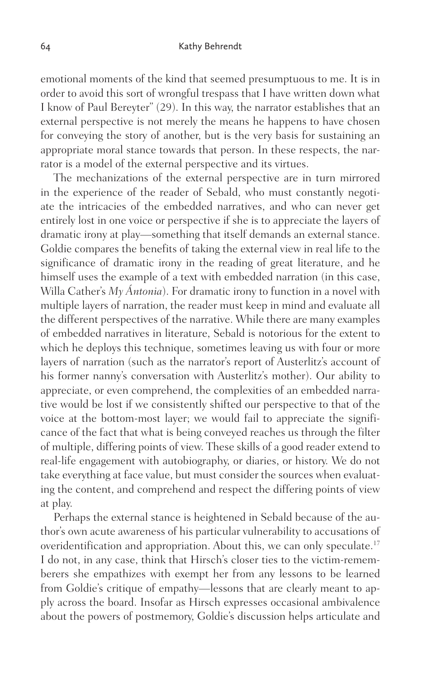emotional moments of the kind that seemed presumptuous to me. It is in order to avoid this sort of wrongful trespass that I have written down what I know of Paul Bereyter" (29). In this way, the narrator establishes that an external perspective is not merely the means he happens to have chosen for conveying the story of another, but is the very basis for sustaining an appropriate moral stance towards that person. In these respects, the narrator is a model of the external perspective and its virtues.

 The mechanizations of the external perspective are in turn mirrored in the experience of the reader of Sebald, who must constantly negotiate the intricacies of the embedded narratives, and who can never get entirely lost in one voice or perspective if she is to appreciate the layers of dramatic irony at play—something that itself demands an external stance. Goldie compares the benefits of taking the external view in real life to the significance of dramatic irony in the reading of great literature, and he himself uses the example of a text with embedded narration (in this case, Willa Cather's *My Ántonia*). For dramatic irony to function in a novel with multiple layers of narration, the reader must keep in mind and evaluate all the different perspectives of the narrative. While there are many examples of embedded narratives in literature, Sebald is notorious for the extent to which he deploys this technique, sometimes leaving us with four or more layers of narration (such as the narrator's report of Austerlitz's account of his former nanny's conversation with Austerlitz's mother). Our ability to appreciate, or even comprehend, the complexities of an embedded narrative would be lost if we consistently shifted our perspective to that of the voice at the bottom-most layer; we would fail to appreciate the significance of the fact that what is being conveyed reaches us through the filter of multiple, differing points of view. These skills of a good reader extend to real-life engagement with autobiography, or diaries, or history. We do not take everything at face value, but must consider the sources when evaluating the content, and comprehend and respect the differing points of view at play.

 Perhaps the external stance is heightened in Sebald because of the author's own acute awareness of his particular vulnerability to accusations of overidentification and appropriation. About this, we can only speculate. [17](#page-17-0) I do not, in any case, think that Hirsch's closer ties to the victim-rememberers she empathizes with exempt her from any lessons to be learned from Goldie's critique of empathy—lessons that are clearly meant to apply across the board. Insofar as Hirsch expresses occasional ambivalence about the powers of postmemory, Goldie's discussion helps articulate and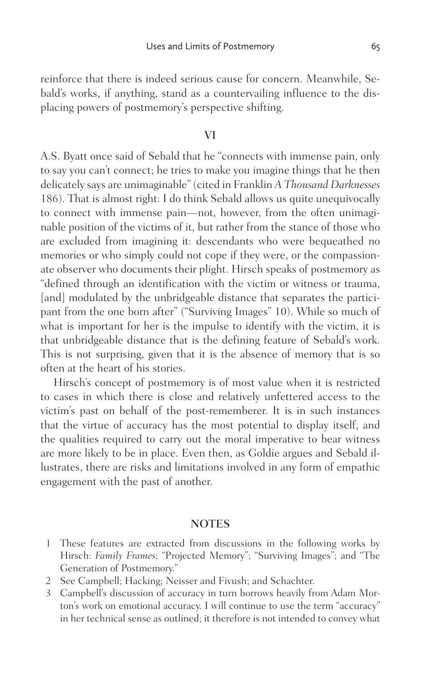<span id="page-15-0"></span>reinforce that there is indeed serious cause for concern. Meanwhile, Sebald's works, if anything, stand as a countervailing influence to the displacing powers of postmemory's perspective shifting.

#### VI

A.S. Byatt once said of Sebald that he "connects with immense pain, only to say you can't connect; he tries to make you imagine things that he then delicately says are unimaginable" (cited in Franklin *A Thousand Darknesses* 186). That is almost right: I do think Sebald allows us quite unequivocally to connect with immense pain—not, however, from the often unimaginable position of the victims of it, but rather from the stance of those who are excluded from imagining it: descendants who were bequeathed no memories or who simply could not cope if they were, or the compassionate observer who documents their plight. Hirsch speaks of postmemory as "defined through an identification with the victim or witness or trauma, [and] modulated by the unbridgeable distance that separates the participant from the one born after" ("Surviving Images" 10). While so much of what is important for her is the impulse to identify with the victim, it is that unbridgeable distance that is the defining feature of Sebald's work. This is not surprising, given that it is the absence of memory that is so often at the heart of his stories.

 Hirsch's concept of postmemory is of most value when it is restricted to cases in which there is close and relatively unfettered access to the victim's past on behalf of the post-rememberer. It is in such instances that the virtue of accuracy has the most potential to display itself, and the qualities required to carry out the moral imperative to bear witness are more likely to be in place. Even then, as Goldie argues and Sebald illustrates, there are risks and limitations involved in any form of empathic engagement with the past of another.

### **NOTES**

- 1 These features are extracted from discussions in the following works by Hirsch: *Family Frames*; "Projected Memory"; "Surviving Images"; and "The Generation of Postmemory."
- 2 See Campbell; Hacking; Neisser and Fivush; and Schachter.
- 3 Campbell's discussion of accuracy in turn borrows heavily from Adam Morton's work on emotional accuracy. I will continue to use the term "accuracy" in her technical sense as outlined; it therefore is not intended to convey what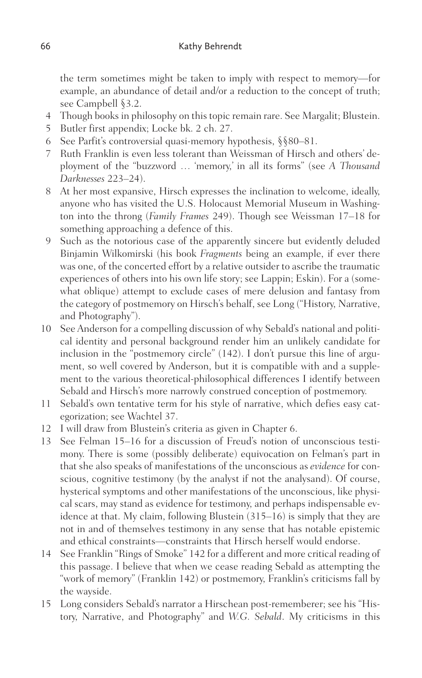<span id="page-16-0"></span>the term sometimes might be taken to imply with respect to memory—for example, an abundance of detail and/or a reduction to the concept of truth; see Campbell §3.2.

- 4 Though books in philosophy on this topic remain rare. See Margalit; Blustein.
- 5 Butler first appendix; Locke bk. 2 ch. 27.
- 6 See Parfit's controversial quasi-memory hypothesis, §§80–81.
- 7 Ruth Franklin is even less tolerant than Weissman of Hirsch and others' deployment of the "buzzword … 'memory,' in all its forms" (see *A Thousand Darknesses* 223–24).
- 8 At her most expansive, Hirsch expresses the inclination to welcome, ideally, anyone who has visited the U.S. Holocaust Memorial Museum in Washington into the throng (*Family Frames* 249). Though see Weissman 17–18 for something approaching a defence of this.
- 9 Such as the notorious case of the apparently sincere but evidently deluded Binjamin Wilkomirski (his book *Fragments* being an example, if ever there was one, of the concerted effort by a relative outsider to ascribe the traumatic experiences of others into his own life story; see Lappin; Eskin). For a (somewhat oblique) attempt to exclude cases of mere delusion and fantasy from the category of postmemory on Hirsch's behalf, see Long ("History, Narrative, and Photography").
- 10 See Anderson for a compelling discussion of why Sebald's national and political identity and personal background render him an unlikely candidate for inclusion in the "postmemory circle" (142). I don't pursue this line of argument, so well covered by Anderson, but it is compatible with and a supplement to the various theoretical-philosophical differences I identify between Sebald and Hirsch's more narrowly construed conception of postmemory.
- 11 Sebald's own tentative term for his style of narrative, which defies easy categorization; see Wachtel 37.
- 12 I will draw from Blustein's criteria as given in Chapter 6.
- 13 See Felman 15–16 for a discussion of Freud's notion of unconscious testimony. There is some (possibly deliberate) equivocation on Felman's part in that she also speaks of manifestations of the unconscious as *evidence* for conscious, cognitive testimony (by the analyst if not the analysand). Of course, hysterical symptoms and other manifestations of the unconscious, like physical scars, may stand as evidence for testimony, and perhaps indispensable evidence at that. My claim, following Blustein (315–16) is simply that they are not in and of themselves testimony in any sense that has notable epistemic and ethical constraints—constraints that Hirsch herself would endorse.
- 14 See Franklin "Rings of Smoke" 142 for a different and more critical reading of this passage. I believe that when we cease reading Sebald as attempting the "work of memory" (Franklin 142) or postmemory, Franklin's criticisms fall by the wayside.
- 15 Long considers Sebald's narrator a Hirschean post-rememberer; see his "History, Narrative, and Photography" and *W.G. Sebald*. My criticisms in this